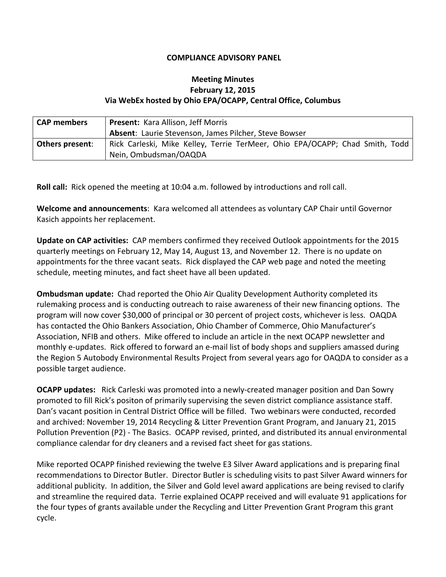## **COMPLIANCE ADVISORY PANEL**

## **Meeting Minutes February 12, 2015 Via WebEx hosted by Ohio EPA/OCAPP, Central Office, Columbus**

| <b>CAP members</b>     | Present: Kara Allison, Jeff Morris                                           |
|------------------------|------------------------------------------------------------------------------|
|                        | <b>Absent: Laurie Stevenson, James Pilcher, Steve Bowser</b>                 |
| <b>Others present:</b> | Rick Carleski, Mike Kelley, Terrie TerMeer, Ohio EPA/OCAPP; Chad Smith, Todd |
|                        | Nein, Ombudsman/OAQDA                                                        |

**Roll call:** Rick opened the meeting at 10:04 a.m. followed by introductions and roll call.

**Welcome and announcements**: Kara welcomed all attendees as voluntary CAP Chair until Governor Kasich appoints her replacement.

**Update on CAP activities:** CAP members confirmed they received Outlook appointments for the 2015 quarterly meetings on February 12, May 14, August 13, and November 12. There is no update on appointments for the three vacant seats. Rick displayed the CAP web page and noted the meeting schedule, meeting minutes, and fact sheet have all been updated.

**Ombudsman update:**Chad reported the Ohio Air Quality Development Authority completed its rulemaking process and is conducting outreach to raise awareness of their new financing options. The program will now cover \$30,000 of principal or 30 percent of project costs, whichever is less. OAQDA has contacted the Ohio Bankers Association, Ohio Chamber of Commerce, Ohio Manufacturer's Association, NFIB and others. Mike offered to include an article in the next OCAPP newsletter and monthly e-updates. Rick offered to forward an e-mail list of body shops and suppliers amassed during the Region 5 Autobody Environmental Results Project from several years ago for OAQDA to consider as a possible target audience.

**OCAPP updates:** Rick Carleski was promoted into a newly-created manager position and Dan Sowry promoted to fill Rick's positon of primarily supervising the seven district compliance assistance staff. Dan's vacant position in Central District Office will be filled. Two webinars were conducted, recorded and archived: November 19, 2014 Recycling & Litter Prevention Grant Program, and January 21, 2015 Pollution Prevention (P2) - The Basics. OCAPP revised, printed, and distributed its annual environmental compliance calendar for dry cleaners and a revised fact sheet for gas stations.

Mike reported OCAPP finished reviewing the twelve E3 Silver Award applications and is preparing final recommendations to Director Butler. Director Butler is scheduling visits to past Silver Award winners for additional publicity. In addition, the Silver and Gold level award applications are being revised to clarify and streamline the required data. Terrie explained OCAPP received and will evaluate 91 applications for the four types of grants available under the Recycling and Litter Prevention Grant Program this grant cycle.